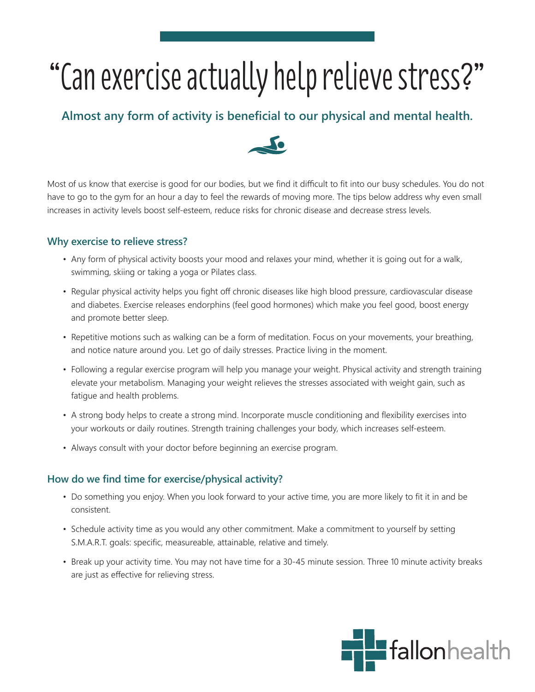## "Can exercise actually help relieve stress?"

## **Almost any form of activity is beneficial to our physical and mental health.**



Most of us know that exercise is good for our bodies, but we find it difficult to fit into our busy schedules. You do not have to go to the gym for an hour a day to feel the rewards of moving more. The tips below address why even small increases in activity levels boost self-esteem, reduce risks for chronic disease and decrease stress levels.

## **Why exercise to relieve stress?**

- Any form of physical activity boosts your mood and relaxes your mind, whether it is going out for a walk, swimming, skiing or taking a yoga or Pilates class.
- Regular physical activity helps you fight off chronic diseases like high blood pressure, cardiovascular disease and diabetes. Exercise releases endorphins (feel good hormones) which make you feel good, boost energy and promote better sleep.
- Repetitive motions such as walking can be a form of meditation. Focus on your movements, your breathing, and notice nature around you. Let go of daily stresses. Practice living in the moment.
- Following a regular exercise program will help you manage your weight. Physical activity and strength training elevate your metabolism. Managing your weight relieves the stresses associated with weight gain, such as fatigue and health problems.
- A strong body helps to create a strong mind. Incorporate muscle conditioning and flexibility exercises into your workouts or daily routines. Strength training challenges your body, which increases self-esteem.
- Always consult with your doctor before beginning an exercise program.

## **How do we find time for exercise/physical activity?**

- Do something you enjoy. When you look forward to your active time, you are more likely to fit it in and be consistent.
- Schedule activity time as you would any other commitment. Make a commitment to yourself by setting S.M.A.R.T. goals: specific, measureable, attainable, relative and timely.
- Break up your activity time. You may not have time for a 30-45 minute session. Three 10 minute activity breaks are just as effective for relieving stress.